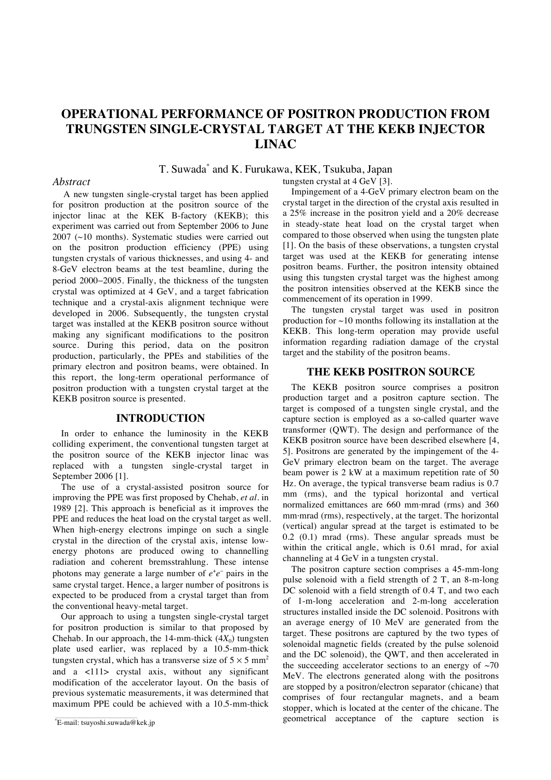# **OPERATIONAL PERFORMANCE OF POSITRON PRODUCTION FROM TRUNGSTEN SINGLE-CRYSTAL TARGET AT THE KEKB INJECTOR LINAC**

# T. Suwada\* and K. Furukawa, KEK*,* Tsukuba, Japan

### *Abstract*

A new tungsten single-crystal target has been applied for positron production at the positron source of the injector linac at the KEK B-factory (KEKB); this experiment was carried out from September 2006 to June 2007 (~10 months). Systematic studies were carried out on the positron production efficiency (PPE) using tungsten crystals of various thicknesses, and using 4- and 8-GeV electron beams at the test beamline, during the period 2000−2005. Finally, the thickness of the tungsten crystal was optimized at 4 GeV, and a target fabrication technique and a crystal-axis alignment technique were developed in 2006. Subsequently, the tungsten crystal target was installed at the KEKB positron source without making any significant modifications to the positron source. During this period, data on the positron production, particularly, the PPEs and stabilities of the primary electron and positron beams, were obtained. In this report, the long-term operational performance of positron production with a tungsten crystal target at the KEKB positron source is presented.

#### **INTRODUCTION**

In order to enhance the luminosity in the KEKB colliding experiment, the conventional tungsten target at the positron source of the KEKB injector linac was replaced with a tungsten single-crystal target in September 2006 [1].

The use of a crystal-assisted positron source for improving the PPE was first proposed by Chehab, *et al.* in 1989 [2]. This approach is beneficial as it improves the PPE and reduces the heat load on the crystal target as well. When high-energy electrons impinge on such a single crystal in the direction of the crystal axis, intense lowenergy photons are produced owing to channelling radiation and coherent bremsstrahlung. These intense photons may generate a large number of  $e^+e^-$  pairs in the same crystal target. Hence, a larger number of positrons is expected to be produced from a crystal target than from the conventional heavy-metal target.

Our approach to using a tungsten single-crystal target for positron production is similar to that proposed by Chehab. In our approach, the 14-mm-thick  $(4X_0)$  tungsten plate used earlier, was replaced by a 10.5-mm-thick tungsten crystal, which has a transverse size of  $5 \times 5$  mm<sup>2</sup> and a <111> crystal axis, without any significant modification of the accelerator layout. On the basis of previous systematic measurements, it was determined that maximum PPE could be achieved with a 10.5-mm-thick

tungsten crystal at 4 GeV [3].

Impingement of a 4-GeV primary electron beam on the crystal target in the direction of the crystal axis resulted in a 25% increase in the positron yield and a 20% decrease in steady-state heat load on the crystal target when compared to those observed when using the tungsten plate [1]. On the basis of these observations, a tungsten crystal target was used at the KEKB for generating intense positron beams. Further, the positron intensity obtained using this tungsten crystal target was the highest among the positron intensities observed at the KEKB since the commencement of its operation in 1999.

The tungsten crystal target was used in positron production for  $\sim$ 10 months following its installation at the KEKB. This long-term operation may provide useful information regarding radiation damage of the crystal target and the stability of the positron beams.

### **THE KEKB POSITRON SOURCE**

The KEKB positron source comprises a positron production target and a positron capture section. The target is composed of a tungsten single crystal, and the capture section is employed as a so-called quarter wave transformer (QWT). The design and performance of the KEKB positron source have been described elsewhere [4, 5]. Positrons are generated by the impingement of the 4- GeV primary electron beam on the target. The average beam power is 2 kW at a maximum repetition rate of 50 Hz. On average, the typical transverse beam radius is 0.7 mm (rms), and the typical horizontal and vertical normalized emittances are 660 mm*·*mrad (rms) and 360 mm*·*mrad (rms), respectively, at the target. The horizontal (vertical) angular spread at the target is estimated to be 0.2 (0.1) mrad (rms). These angular spreads must be within the critical angle, which is 0.61 mrad, for axial channeling at 4 GeV in a tungsten crystal.

The positron capture section comprises a 45-mm-long pulse solenoid with a field strength of 2 T, an 8-m-long DC solenoid with a field strength of 0.4 T, and two each of 1-m-long acceleration and 2-m-long acceleration structures installed inside the DC solenoid. Positrons with an average energy of 10 MeV are generated from the target. These positrons are captured by the two types of solenoidal magnetic fields (created by the pulse solenoid and the DC solenoid), the QWT, and then accelerated in the succeeding accelerator sections to an energy of  $\sim$ 70 MeV. The electrons generated along with the positrons are stopped by a positron/electron separator (chicane) that comprises of four rectangular magnets, and a beam stopper, which is located at the center of the chicane. The geometrical acceptance of the capture section is

<sup>\*</sup> E-mail: tsuyoshi.suwada@kek.jp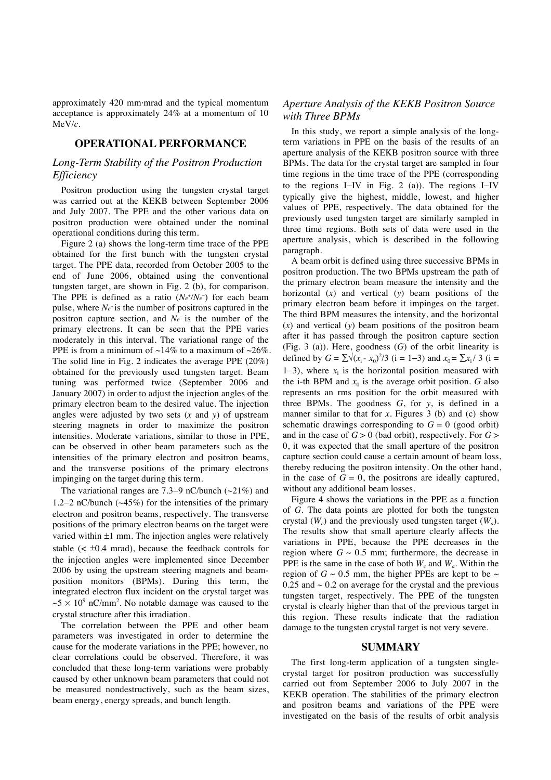approximately 420 mm*·*mrad and the typical momentum acceptance is approximately 24% at a momentum of 10 MeV/*c*.

# **OPERATIONAL PERFORMANCE**

# *Long-Term Stability of the Positron Production Efficiency*

Positron production using the tungsten crystal target was carried out at the KEKB between September 2006 and July 2007. The PPE and the other various data on positron production were obtained under the nominal operational conditions during this term.

Figure 2 (a) shows the long-term time trace of the PPE obtained for the first bunch with the tungsten crystal target. The PPE data, recorded from October 2005 to the end of June 2006, obtained using the conventional tungsten target, are shown in Fig. 2 (b), for comparison. The PPE is defined as a ratio  $(Ne^{\dagger}/Ne^{-})$  for each beam pulse, where  $N_{e^+}$  is the number of positrons captured in the positron capture section, and Ne<sup>-</sup> is the number of the primary electrons. It can be seen that the PPE varies moderately in this interval. The variational range of the PPE is from a minimum of  $\sim$ 14% to a maximum of  $\sim$ 26%. The solid line in Fig. 2 indicates the average PPE (20%) obtained for the previously used tungsten target. Beam tuning was performed twice (September 2006 and January 2007) in order to adjust the injection angles of the primary electron beam to the desired value. The injection angles were adjusted by two sets (*x* and *y*) of upstream steering magnets in order to maximize the positron intensities. Moderate variations, similar to those in PPE, can be observed in other beam parameters such as the intensities of the primary electron and positron beams, and the transverse positions of the primary electrons impinging on the target during this term*.*

The variational ranges are 7.3−9 nC/bunch (~21%) and 1.2−2 nC/bunch (~45%) for the intensities of the primary electron and positron beams, respectively. The transverse positions of the primary electron beams on the target were varied within  $\pm 1$  mm. The injection angles were relatively stable  $\left($  <  $\pm 0.4 \text{ mrad}$ ), because the feedback controls for the injection angles were implemented since December 2006 by using the upstream steering magnets and beamposition monitors (BPMs). During this term, the integrated electron flux incident on the crystal target was  $\sim$ 5  $\times$  10<sup>9</sup> nC/mm<sup>2</sup>. No notable damage was caused to the crystal structure after this irradiation.

The correlation between the PPE and other beam parameters was investigated in order to determine the cause for the moderate variations in the PPE; however, no clear correlations could be observed. Therefore, it was concluded that these long-term variations were probably caused by other unknown beam parameters that could not be measured nondestructively, such as the beam sizes, beam energy, energy spreads, and bunch length.

# *Aperture Analysis of the KEKB Positron Source with Three BPMs*

In this study, we report a simple analysis of the longterm variations in PPE on the basis of the results of an aperture analysis of the KEKB positron source with three BPMs. The data for the crystal target are sampled in four time regions in the time trace of the PPE (corresponding to the regions I−IV in Fig. 2 (a)). The regions I−IV typically give the highest, middle, lowest, and higher values of PPE, respectively. The data obtained for the previously used tungsten target are similarly sampled in three time regions. Both sets of data were used in the aperture analysis, which is described in the following paragraph.

A beam orbit is defined using three successive BPMs in positron production. The two BPMs upstream the path of the primary electron beam measure the intensity and the horizontal (*x*) and vertical (*y*) beam positions of the primary electron beam before it impinges on the target. The third BPM measures the intensity, and the horizontal (*x*) and vertical (*y*) beam positions of the positron beam after it has passed through the positron capture section (Fig. 3 (a)). Here, goodness (*G*) of the orbit linearity is defined by  $G = \sum \sqrt{(x_i - x_0)^2/3}$  (i = 1–3) and  $x_0 = \sum x_i / 3$  (i = 1–3), where  $x_i$  is the horizontal position measured with the i-th BPM and  $x_0$  is the average orbit position. *G* also represents an rms position for the orbit measured with three BPMs. The goodness  $G$ , for  $y$ , is defined in a manner similar to that for *x*. Figures 3 (b) and (c) show schematic drawings corresponding to  $G = 0$  (good orbit) and in the case of  $G > 0$  (bad orbit), respectively. For  $G >$ 0, it was expected that the small aperture of the positron capture section could cause a certain amount of beam loss, thereby reducing the positron intensity. On the other hand, in the case of  $G = 0$ , the positrons are ideally captured, without any additional beam losses.

Figure 4 shows the variations in the PPE as a function of *G*. The data points are plotted for both the tungsten crystal  $(W_c)$  and the previously used tungsten target  $(W_a)$ . The results show that small aperture clearly affects the variations in PPE, because the PPE decreases in the region where  $G \sim 0.5$  mm; furthermore, the decrease in PPE is the same in the case of both  $W_c$  and  $W_a$ . Within the region of  $G \sim 0.5$  mm, the higher PPEs are kept to be  $\sim$  $0.25$  and  $\sim 0.2$  on average for the crystal and the previous tungsten target, respectively. The PPE of the tungsten crystal is clearly higher than that of the previous target in this region. These results indicate that the radiation damage to the tungsten crystal target is not very severe.

#### **SUMMARY**

The first long-term application of a tungsten singlecrystal target for positron production was successfully carried out from September 2006 to July 2007 in the KEKB operation. The stabilities of the primary electron and positron beams and variations of the PPE were investigated on the basis of the results of orbit analysis